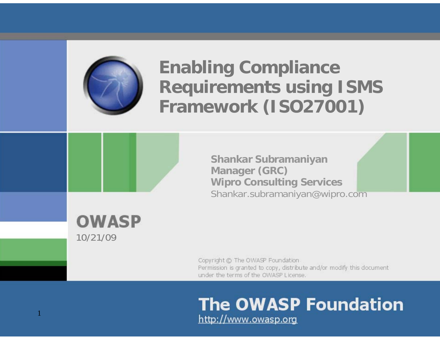

# **Enabling Compliance Requirements using ISMS Framework (ISO27001)**



**Shankar Subramaniyan Manager (GRC) Wipro Consulting Services** Shankar.subramaniyan@wipro.com

**OWASP** 10/21/09

1

Copyright @ The OWASP Foundation Permission is granted to copy, distribute and/or modify this document under the terms of the OWASP License.

#### **The OWASP Foundation** http://www.owasp.org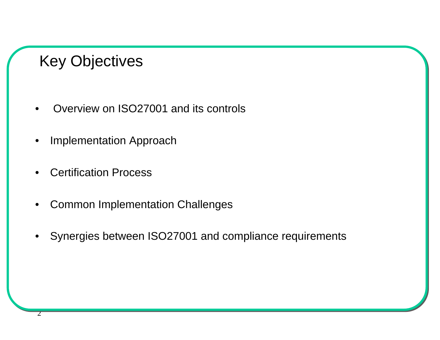## Key Objectives

- •Overview on ISO27001 and its controls
- •Implementation Approach
- •Certification Process

2

- •Common Implementation Challenges
- •Synergies between ISO27001 and compliance requirements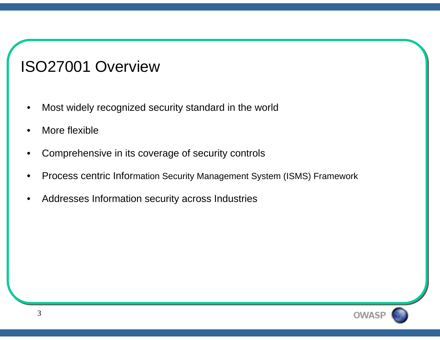## ISO27001 Overview

- •Most widely recognized security standard in the world
- •More flexible
- •Comprehensive in its coverage of security controls
- •Process centric Information Security Management System (ISMS) Framework
- •Addresses Information security across Industries

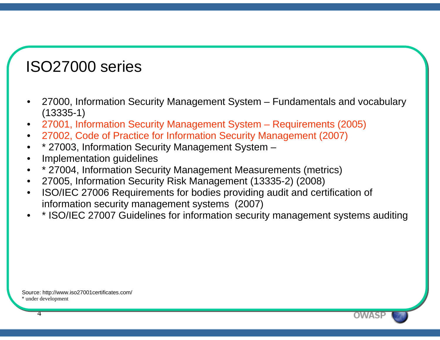## ISO27000 series

- • 27000, Information Security Management System – Fundamentals and vocabulary (13335-1)
- •27001, Information Security Management System – Requirements (2005)
- •27002, Code of Practice for Information Security Management (2007)
- •\* 27003, Information Security Management System –
- •Implementation guidelines
- •\* 27004, Information Security Management Measurements (metrics)
- •27005, Information Security Risk Management (13335-2) (2008)
- • ISO/IEC 27006 Requirements for bodies providing audit and certification of information security management systems (2007)
- •\* ISO/IEC 27007 Guidelines for information security management systems auditing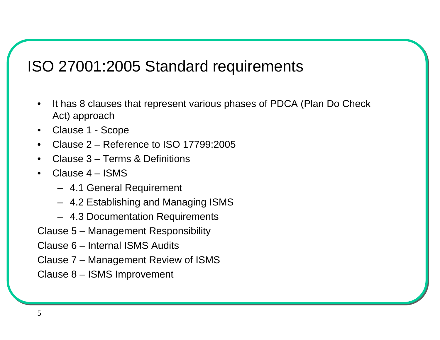## ISO 27001:2005 Standard requirements

- $\bullet$  It has 8 clauses that represent various phases of PDCA (Plan Do Check Act) approach
- •Clause 1 - Scope
- •Clause 2 – Reference to ISO 17799:2005
- •Clause 3 – Terms & Definitions
- • Clause 4 – ISMS
	- 4.1 General Requirement
	- 4.2 Establishing and Managing ISMS
	- 4.3 Documentation Requirements
- Clause 5 Management Responsibility
- Clause 6 Internal ISMS Audits
- Clause 7 Management Review of ISMS
- Clause 8 ISMS Improvement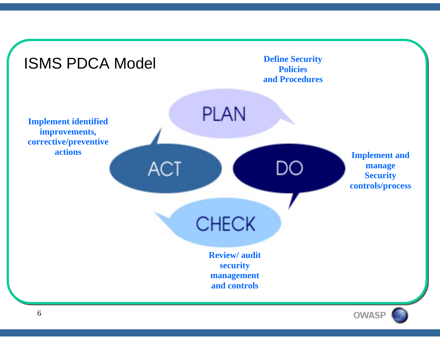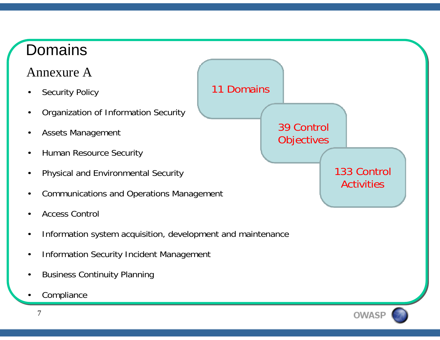## Domains

### Annexure A

- •Security Policy
- •Organization of Information Security
- •Assets Management
- •Human Resource Security
- •Physical and Environmental Security
- •Communications and Operations Management
- •Access Control
- •Information system acquisition, development and maintenance
- •Information Security Incident Management
- •Business Continuity Planning
- •Compliance



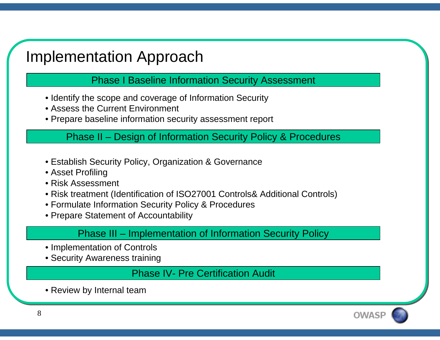## Implementation Approach

Phase I Baseline Information Security Assessment

- Identify the scope and coverage of Information Security
- Assess the Current Environment
- Prepare baseline information security assessment report

Phase II – Design of Information Security Policy & Procedures

- Establish Security Policy, Organization & Governance
- Asset Profiling
- Risk Assessment
- Risk treatment (Identification of ISO27001 Controls& Additional Controls)
- Formulate Information Security Policy & Procedures
- Prepare Statement of Accountability

Phase III – Implementation of Information Security Policy

- Implementation of Controls
- Security Awareness training

Phase IV- Pre Certification Audit

• Review by Internal team

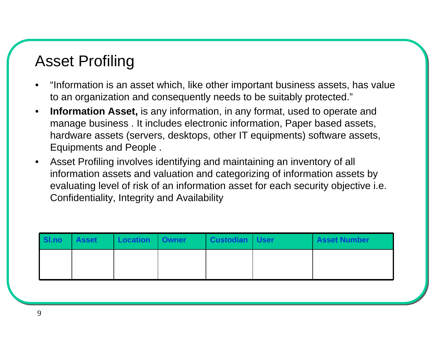## Asset Profiling

- • "Information is an asset which, like other important business assets, has value to an organization and consequently needs to be suitably protected."
- • **Information Asset,** is any information, in any format, used to operate and manage business . It includes electronic information, Paper based assets, hardware assets (servers, desktops, other IT equipments) software assets, Equipments and People .
- • Asset Profiling involves identifying and maintaining an inventory of all information assets and valuation and categorizing of information assets by evaluating level of risk of an information asset for each security objective i.e. Confidentiality, Integrity and Availability

| SI.no | <b>Asset</b> | Location   Owner | Custodian   User | <b>Asset Number</b> |
|-------|--------------|------------------|------------------|---------------------|
|       |              |                  |                  |                     |
|       |              |                  |                  |                     |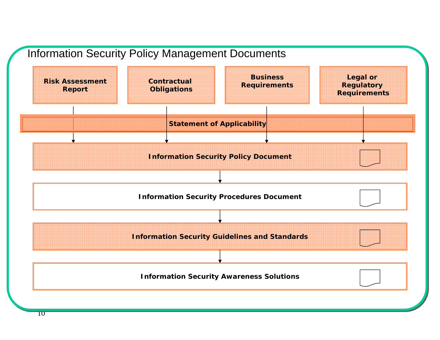

 $10$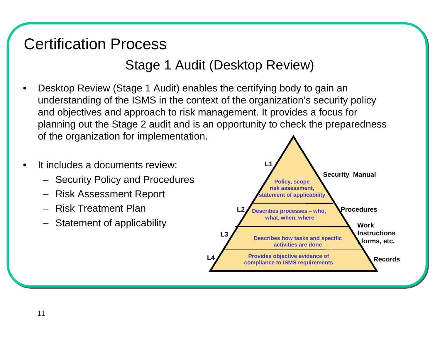## Certification Process

#### Stage 1 Audit (Desktop Review)

- • Desktop Review (Stage 1 Audit) enables the certifying body to gain an understanding of the ISMS in the context of the organization's security policy and objectives and approach to risk management. It provides a focus for planning out the Stage 2 audit and is an opportunity to check the preparedness of the organization for implementation.
- • It includes a documents review:
	- Security Policy and Procedures
	- Risk Assessment Report
	- Risk Treatment Plan
	- Statement of applicability

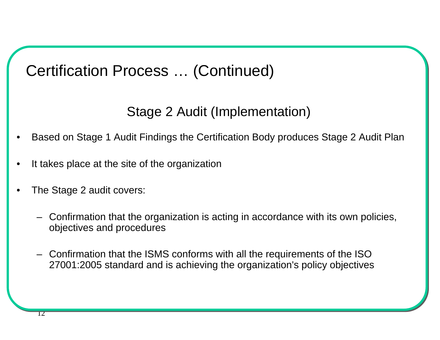## Certification Process … (Continued)

#### Stage 2 Audit (Implementation)

- •Based on Stage 1 Audit Findings the Certification Body produces Stage 2 Audit Plan
- •It takes place at the site of the organization
- • The Stage 2 audit covers:
	- Confirmation that the organization is acting in accordance with its own policies, objectives and procedures
	- Confirmation that the ISMS conforms with all the requirements of the ISO 27001:2005 standard and is achieving the organization's policy objectives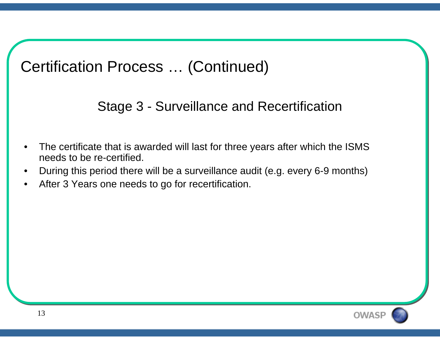## Certification Process … (Continued)

Stage 3 - Surveillance and Recertification

- • The certificate that is awarded will last for three years after which the ISMS needs to be re-certified.
- •During this period there will be a surveillance audit (e.g. every 6-9 months)
- •After 3 Years one needs to go for recertification.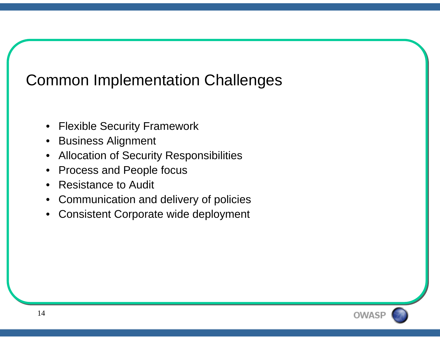## Common Implementation Challenges

- $\bullet$ Flexible Security Framework
- $\bullet$ Business Alignment
- $\bullet$ Allocation of Security Responsibilities
- $\bullet$ Process and People focus
- $\bullet$ Resistance to Audit
- $\bullet$ Communication and delivery of policies
- $\bullet$ Consistent Corporate wide deployment

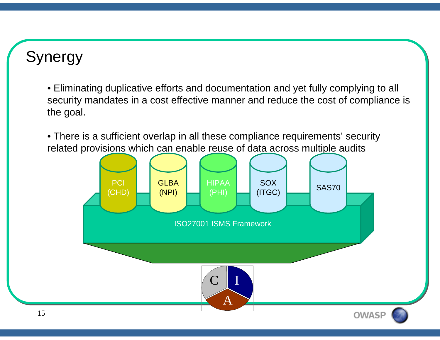## Synergy

• Eliminating duplicative efforts and documentation and yet fully complying to all security mandates in a cost effective manner and reduce the cost of compliance is the goal.

• There is a sufficient overlap in all these compliance requirements' security related provisions which can enable reuse of data across multiple audits

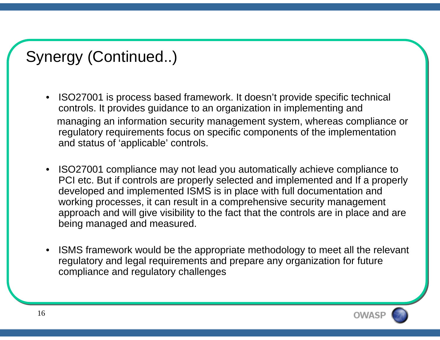## Synergy (Continued..)

- ISO27001 is process based framework. It doesn't provide specific technical controls. It provides guidance to an organization in implementing and managing an information security management system, whereas compliance or regulatory requirements focus on specific components of the implementation and status of 'applicable' controls.
- ISO27001 compliance may not lead you automatically achieve compliance to PCI etc. But if controls are properly selected and implemented and If a properly developed and implemented ISMS is in place with full documentation and working processes, it can result in a comprehensive security management approach and will give visibility to the fact that the controls are in place and are being managed and measured.
- • ISMS framework would be the appropriate methodology to meet all the relevant regulatory and legal requirements and prepare any organization for future compliance and regulatory challenges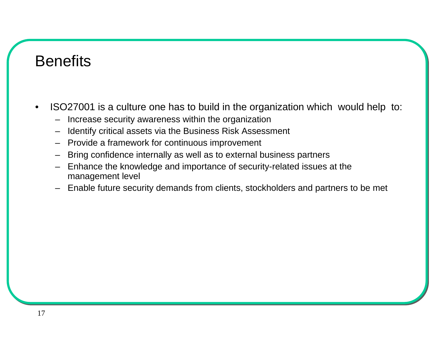### **Benefits**

- • ISO27001 is a culture one has to build in the organization which would help to:
	- –Increase security awareness within the organization
	- Identify critical assets via the Business Risk Assessment
	- Provide a framework for continuous improvement
	- Bring confidence internally as well as to external business partners
	- Enhance the knowledge and importance of security-related issues at the management level
	- Enable future security demands from clients, stockholders and partners to be met